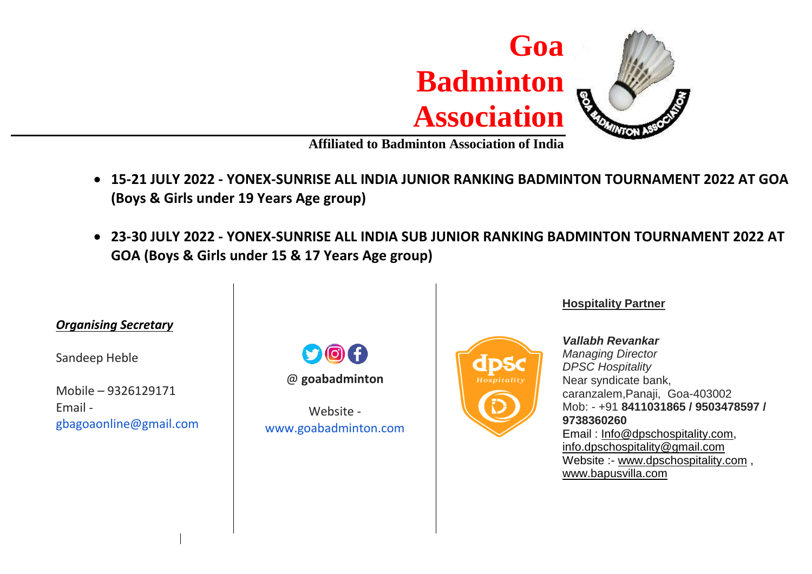

**Affiliated to Badminton Association of India**

- **15-21 JULY 2022 - YONEX-SUNRISE ALL INDIA JUNIOR RANKING BADMINTON TOURNAMENT 2022 AT GOA (Boys & Girls under 19 Years Age group)**
- **23-30 JULY 2022 - YONEX-SUNRISE ALL INDIA SUB JUNIOR RANKING BADMINTON TOURNAMENT 2022 AT GOA (Boys & Girls under 15 & 17 Years Age group)**



#### **Hospitality Partner**

*Vallabh Revankar Managing Director DPSC Hospitality* Near syndicate bank, caranzalem,Panaji, Goa-403002 Mob: - +91 **8411031865 / 9503478597 / 9738360260** Email : [Info@dpschospitality.com,](mailto:Info@dpschospitality.com) [info.dpschospitality@gmail.com](mailto:info.dpschospitality@gmail.com) Website :- [www.dpschospitality.com](http://www.dpschospitality.com/),

[www.bapusvilla.com](http://www.bapusvilla.com/)

Sandeep Heble

Mobile – 9326129171 Email gbagoaonline@gmail.com